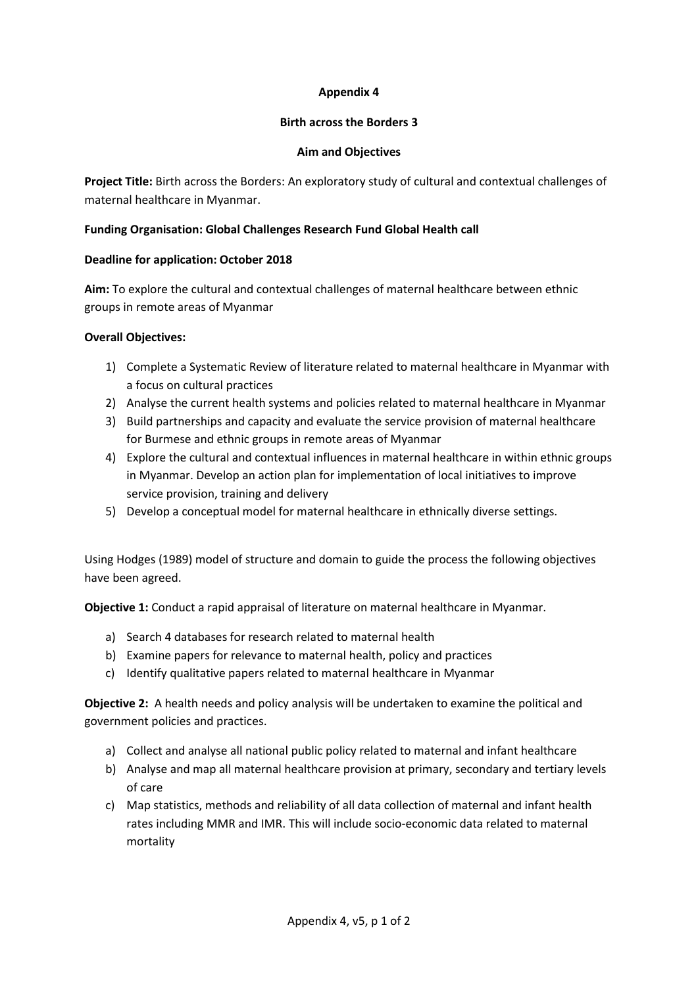# **Appendix 4**

### **Birth across the Borders 3**

### **Aim and Objectives**

**Project Title:** Birth across the Borders: An exploratory study of cultural and contextual challenges of maternal healthcare in Myanmar.

# **Funding Organisation: Global Challenges Research Fund Global Health call**

### **Deadline for application: October 2018**

**Aim:** To explore the cultural and contextual challenges of maternal healthcare between ethnic groups in remote areas of Myanmar

# **Overall Objectives:**

- 1) Complete a Systematic Review of literature related to maternal healthcare in Myanmar with a focus on cultural practices
- 2) Analyse the current health systems and policies related to maternal healthcare in Myanmar
- 3) Build partnerships and capacity and evaluate the service provision of maternal healthcare for Burmese and ethnic groups in remote areas of Myanmar
- 4) Explore the cultural and contextual influences in maternal healthcare in within ethnic groups in Myanmar. Develop an action plan for implementation of local initiatives to improve service provision, training and delivery
- 5) Develop a conceptual model for maternal healthcare in ethnically diverse settings.

Using Hodges (1989) model of structure and domain to guide the process the following objectives have been agreed.

**Objective 1:** Conduct a rapid appraisal of literature on maternal healthcare in Myanmar.

- a) Search 4 databases for research related to maternal health
- b) Examine papers for relevance to maternal health, policy and practices
- c) Identify qualitative papers related to maternal healthcare in Myanmar

**Objective 2:** A health needs and policy analysis will be undertaken to examine the political and government policies and practices.

- a) Collect and analyse all national public policy related to maternal and infant healthcare
- b) Analyse and map all maternal healthcare provision at primary, secondary and tertiary levels of care
- c) Map statistics, methods and reliability of all data collection of maternal and infant health rates including MMR and IMR. This will include socio-economic data related to maternal mortality